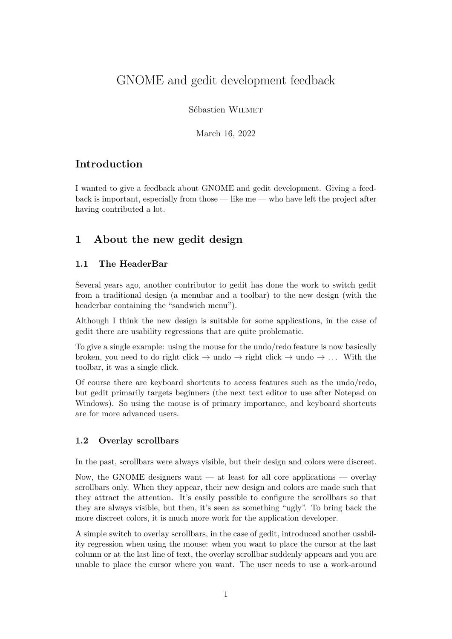# GNOME and gedit development feedback

Sébastien Wilmet

March 16, 2022

### **Introduction**

I wanted to give a feedback about GNOME and gedit development. Giving a feedback is important, especially from those — like me — who have left the project after having contributed a lot.

### **1 About the new gedit design**

### **1.1 The HeaderBar**

Several years ago, another contributor to gedit has done the work to switch gedit from a traditional design (a menubar and a toolbar) to the new design (with the headerbar containing the "sandwich menu").

Although I think the new design is suitable for some applications, in the case of gedit there are usability regressions that are quite problematic.

To give a single example: using the mouse for the undo/redo feature is now basically broken, you need to do right click  $\rightarrow$  undo  $\rightarrow$  right click  $\rightarrow$  undo  $\rightarrow$  ... With the toolbar, it was a single click.

Of course there are keyboard shortcuts to access features such as the undo/redo, but gedit primarily targets beginners (the next text editor to use after Notepad on Windows). So using the mouse is of primary importance, and keyboard shortcuts are for more advanced users.

### **1.2 Overlay scrollbars**

In the past, scrollbars were always visible, but their design and colors were discreet.

Now, the GNOME designers want — at least for all core applications — overlay scrollbars only. When they appear, their new design and colors are made such that they attract the attention. It's easily possible to configure the scrollbars so that they are always visible, but then, it's seen as something "ugly". To bring back the more discreet colors, it is much more work for the application developer.

A simple switch to overlay scrollbars, in the case of gedit, introduced another usability regression when using the mouse: when you want to place the cursor at the last column or at the last line of text, the overlay scrollbar suddenly appears and you are unable to place the cursor where you want. The user needs to use a work-around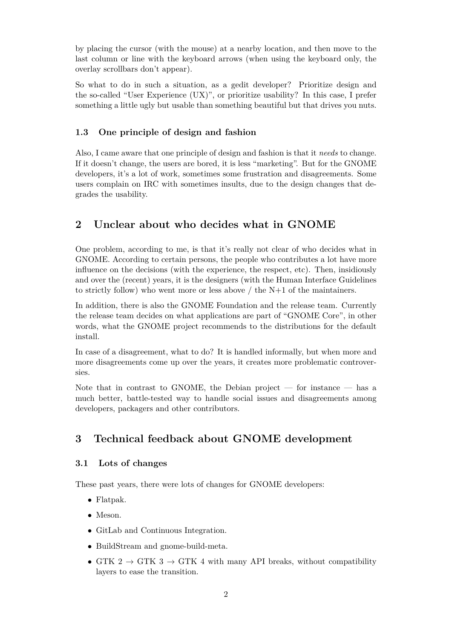by placing the cursor (with the mouse) at a nearby location, and then move to the last column or line with the keyboard arrows (when using the keyboard only, the overlay scrollbars don't appear).

So what to do in such a situation, as a gedit developer? Prioritize design and the so-called "User Experience (UX)", or prioritize usability? In this case, I prefer something a little ugly but usable than something beautiful but that drives you nuts.

#### **1.3 One principle of design and fashion**

Also, I came aware that one principle of design and fashion is that it *needs* to change. If it doesn't change, the users are bored, it is less "marketing". But for the GNOME developers, it's a lot of work, sometimes some frustration and disagreements. Some users complain on IRC with sometimes insults, due to the design changes that degrades the usability.

### **2 Unclear about who decides what in GNOME**

One problem, according to me, is that it's really not clear of who decides what in GNOME. According to certain persons, the people who contributes a lot have more influence on the decisions (with the experience, the respect, etc). Then, insidiously and over the (recent) years, it is the designers (with the Human Interface Guidelines to strictly follow) who went more or less above  $/$  the N+1 of the maintainers.

In addition, there is also the GNOME Foundation and the release team. Currently the release team decides on what applications are part of "GNOME Core", in other words, what the GNOME project recommends to the distributions for the default install.

In case of a disagreement, what to do? It is handled informally, but when more and more disagreements come up over the years, it creates more problematic controversies.

Note that in contrast to GNOME, the Debian project — for instance — has a much better, battle-tested way to handle social issues and disagreements among developers, packagers and other contributors.

# **3 Technical feedback about GNOME development**

#### **3.1 Lots of changes**

These past years, there were lots of changes for GNOME developers:

- Flatpak.
- Meson.
- GitLab and Continuous Integration.
- BuildStream and gnome-build-meta.
- GTK 2  $\rightarrow$  GTK 3  $\rightarrow$  GTK 4 with many API breaks, without compatibility layers to ease the transition.